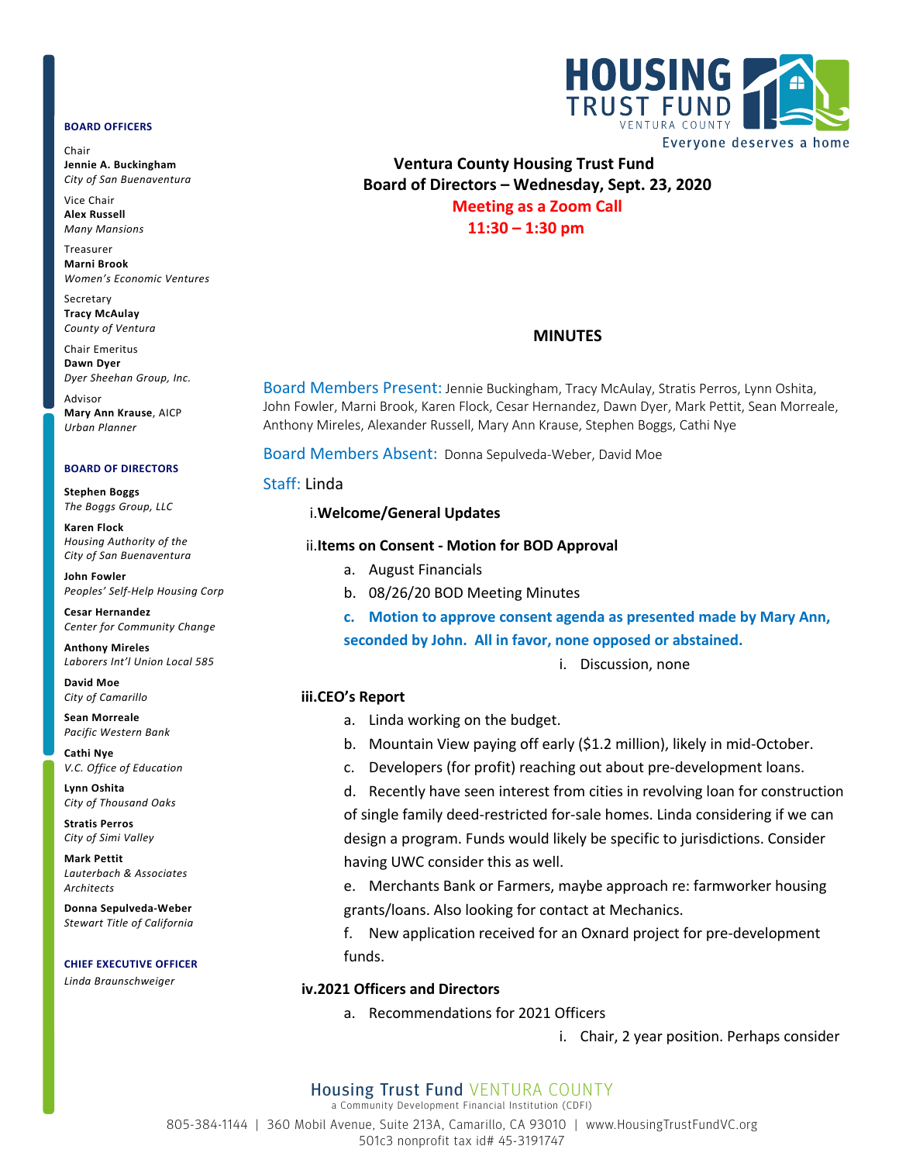#### **BOARD OFFICERS**

Chair **Jennie A. Buckingham** *City of San Buenaventura*

Vice Chair **Alex Russell** *Many Mansions*

Treasurer **Marni Brook** *Women's Economic Ventures*

Secretary **Tracy McAulay** *County of Ventura*

Chair Emeritus **Dawn Dyer** *Dyer Sheehan Group, Inc.*

Advisor **Mary Ann Krause**, AICP *Urban Planner*

#### **BOARD OF DIRECTORS**

**Stephen Boggs** *The Boggs Group, LLC* 

**Karen Flock** *Housing Authority of the City of San Buenaventura*

**John Fowler** *Peoples' Self-Help Housing Corp*

**Cesar Hernandez** *Center for Community Change*

**Anthony Mireles** *Laborers Int'l Union Local 585*

**David Moe** *City of Camarillo*

**Sean Morreale** *Pacific Western Bank*

**Cathi Nye** *V.C. Office of Education*

**Lynn Oshita** *City of Thousand Oaks*

**Stratis Perros** *City of Simi Valley*

**Mark Pettit** *Lauterbach & Associates Architects*

**Donna Sepulveda-Weber** *Stewart Title of California*

#### **CHIEF EXECUTIVE OFFICER**

*Linda Braunschweiger*



**Ventura County Housing Trust Fund Board of Directors – Wednesday, Sept. 23, 2020 Meeting as a Zoom Call 11:30 – 1:30 pm**

## **MINUTES**

Board Members Present: Jennie Buckingham, Tracy McAulay, Stratis Perros, Lynn Oshita, John Fowler, Marni Brook, Karen Flock, Cesar Hernandez, Dawn Dyer, Mark Pettit, Sean Morreale, Anthony Mireles, Alexander Russell, Mary Ann Krause, Stephen Boggs, Cathi Nye

Board Members Absent: Donna Sepulveda-Weber, David Moe

### Staff: Linda

### i.**Welcome/General Updates**

#### ii.**Items on Consent - Motion for BOD Approval**

- a. August Financials
- b. 08/26/20 BOD Meeting Minutes

**c. Motion to approve consent agenda as presented made by Mary Ann, seconded by John. All in favor, none opposed or abstained.**

i. Discussion, none

## **iii.CEO's Report**

- a. Linda working on the budget.
- b. Mountain View paying off early (\$1.2 million), likely in mid-October.
- c. Developers (for profit) reaching out about pre-development loans.

d. Recently have seen interest from cities in revolving loan for construction of single family deed-restricted for-sale homes. Linda considering if we can design a program. Funds would likely be specific to jurisdictions. Consider having UWC consider this as well.

e. Merchants Bank or Farmers, maybe approach re: farmworker housing grants/loans. Also looking for contact at Mechanics.

f. New application received for an Oxnard project for pre-development funds.

## **iv.2021 Officers and Directors**

a. Recommendations for 2021 Officers

i. Chair, 2 year position. Perhaps consider

# Housing Trust Fund VENTURA COUNTY

a Community Development Financial Institution (CDFI)

805-384-1144 | 360 Mobil Avenue, Suite 213A, Camarillo, CA 93010 | www.HousingTrustFundVC.org 501c3 nonprofit tax id# 45-3191747